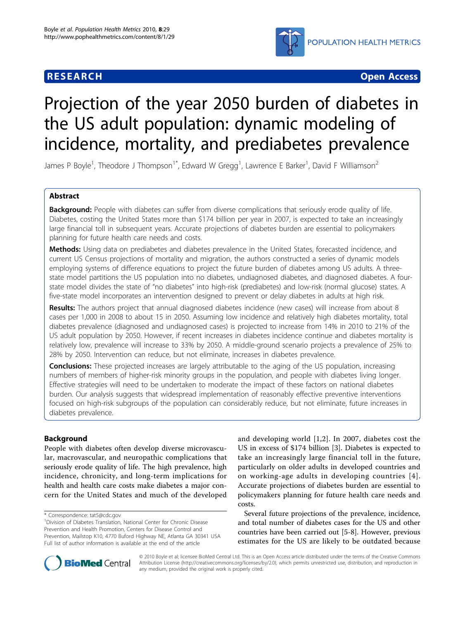

**RESEARCH CONSTRUCTION CONSTRUCTS** 

# Projection of the year 2050 burden of diabetes in the US adult population: dynamic modeling of incidence, mortality, and prediabetes prevalence

James P Boyle<sup>1</sup>, Theodore J Thompson<sup>1\*</sup>, Edward W Gregg<sup>1</sup>, Lawrence E Barker<sup>1</sup>, David F Williamson<sup>2</sup>

# Abstract

Background: People with diabetes can suffer from diverse complications that seriously erode quality of life. Diabetes, costing the United States more than \$174 billion per year in 2007, is expected to take an increasingly large financial toll in subsequent years. Accurate projections of diabetes burden are essential to policymakers planning for future health care needs and costs.

Methods: Using data on prediabetes and diabetes prevalence in the United States, forecasted incidence, and current US Census projections of mortality and migration, the authors constructed a series of dynamic models employing systems of difference equations to project the future burden of diabetes among US adults. A threestate model partitions the US population into no diabetes, undiagnosed diabetes, and diagnosed diabetes. A fourstate model divides the state of "no diabetes" into high-risk (prediabetes) and low-risk (normal glucose) states. A five-state model incorporates an intervention designed to prevent or delay diabetes in adults at high risk.

Results: The authors project that annual diagnosed diabetes incidence (new cases) will increase from about 8 cases per 1,000 in 2008 to about 15 in 2050. Assuming low incidence and relatively high diabetes mortality, total diabetes prevalence (diagnosed and undiagnosed cases) is projected to increase from 14% in 2010 to 21% of the US adult population by 2050. However, if recent increases in diabetes incidence continue and diabetes mortality is relatively low, prevalence will increase to 33% by 2050. A middle-ground scenario projects a prevalence of 25% to 28% by 2050. Intervention can reduce, but not eliminate, increases in diabetes prevalence.

**Conclusions:** These projected increases are largely attributable to the aging of the US population, increasing numbers of members of higher-risk minority groups in the population, and people with diabetes living longer. Effective strategies will need to be undertaken to moderate the impact of these factors on national diabetes burden. Our analysis suggests that widespread implementation of reasonably effective preventive interventions focused on high-risk subgroups of the population can considerably reduce, but not eliminate, future increases in diabetes prevalence.

# Background

People with diabetes often develop diverse microvascular, macrovascular, and neuropathic complications that seriously erode quality of life. The high prevalence, high incidence, chronicity, and long-term implications for health and health care costs make diabetes a major concern for the United States and much of the developed

\* Correspondence: [tat5@cdc.gov](mailto:tat5@cdc.gov)

and developing world [[1](#page-10-0),[2\]](#page-10-0). In 2007, diabetes cost the US in excess of \$174 billion [\[3](#page-10-0)]. Diabetes is expected to take an increasingly large financial toll in the future, particularly on older adults in developed countries and on working-age adults in developing countries [[4\]](#page-10-0). Accurate projections of diabetes burden are essential to policymakers planning for future health care needs and costs.

Several future projections of the prevalence, incidence, and total number of diabetes cases for the US and other countries have been carried out [[5-8](#page-10-0)]. However, previous estimates for the US are likely to be outdated because



© 2010 Boyle et al; licensee BioMed Central Ltd. This is an Open Access article distributed under the terms of the Creative Commons Attribution License [\(http://creativecommons.org/licenses/by/2.0](http://creativecommons.org/licenses/by/2.0)), which permits unrestricted use, distribution, and reproduction in any medium, provided the original work is properly cited.

<sup>&</sup>lt;sup>1</sup> Division of Diabetes Translation, National Center for Chronic Disease Prevention and Health Promotion, Centers for Disease Control and Prevention, Mailstop K10, 4770 Buford Highway NE, Atlanta GA 30341 USA Full list of author information is available at the end of the article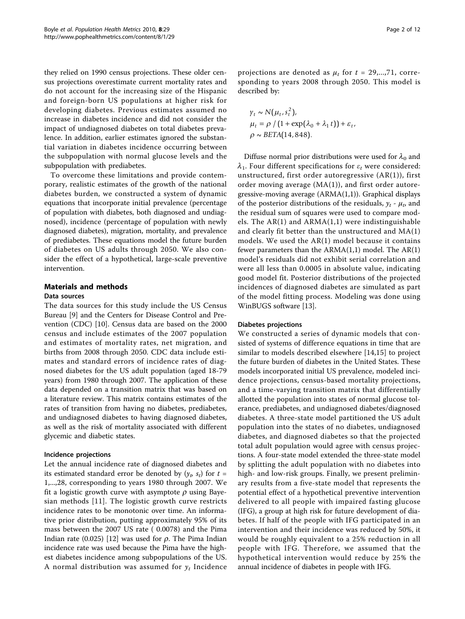they relied on 1990 census projections. These older census projections overestimate current mortality rates and do not account for the increasing size of the Hispanic and foreign-born US populations at higher risk for developing diabetes. Previous estimates assumed no increase in diabetes incidence and did not consider the impact of undiagnosed diabetes on total diabetes prevalence. In addition, earlier estimates ignored the substantial variation in diabetes incidence occurring between the subpopulation with normal glucose levels and the subpopulation with prediabetes.

To overcome these limitations and provide contemporary, realistic estimates of the growth of the national diabetes burden, we constructed a system of dynamic equations that incorporate initial prevalence (percentage of population with diabetes, both diagnosed and undiagnosed), incidence (percentage of population with newly diagnosed diabetes), migration, mortality, and prevalence of prediabetes. These equations model the future burden of diabetes on US adults through 2050. We also consider the effect of a hypothetical, large-scale preventive intervention.

# Materials and methods

#### Data sources

The data sources for this study include the US Census Bureau [[9\]](#page-10-0) and the Centers for Disease Control and Prevention (CDC) [[10\]](#page-10-0). Census data are based on the 2000 census and include estimates of the 2007 population and estimates of mortality rates, net migration, and births from 2008 through 2050. CDC data include estimates and standard errors of incidence rates of diagnosed diabetes for the US adult population (aged 18-79 years) from 1980 through 2007. The application of these data depended on a transition matrix that was based on a literature review. This matrix contains estimates of the rates of transition from having no diabetes, prediabetes, and undiagnosed diabetes to having diagnosed diabetes, as well as the risk of mortality associated with different glycemic and diabetic states.

# Incidence projections

Let the annual incidence rate of diagnosed diabetes and its estimated standard error be denoted by  $(y_t, s_t)$  for  $t =$ 1,...,28, corresponding to years 1980 through 2007. We fit a logistic growth curve with asymptote  $\rho$  using Bayesian methods [[11](#page-10-0)]. The logistic growth curve restricts incidence rates to be monotonic over time. An informative prior distribution, putting approximately 95% of its mass between the 2007 US rate ( 0.0078) and the Pima Indian rate (0.025) [\[12](#page-10-0)] was used for  $\rho$ . The Pima Indian incidence rate was used because the Pima have the highest diabetes incidence among subpopulations of the US. A normal distribution was assumed for  $y_t$  Incidence

projections are denoted as  $\mu_t$  for  $t = 29,...,71$ , corresponding to years 2008 through 2050. This model is described by:

$$
\gamma_t \sim N(\mu_t, s_t^2),
$$
  
\n
$$
\mu_t = \rho / (1 + \exp(\lambda_0 + \lambda_1 t)) + \varepsilon_t,
$$
  
\n
$$
\rho \sim \text{BETA}(14, 848).
$$

Diffuse normal prior distributions were used for  $\lambda_0$  and  $\lambda_1$ . Four different specifications for  $\varepsilon_t$  were considered: unstructured, first order autoregressive (AR(1)), first order moving average (MA(1)), and first order autoregressive-moving average (ARMA(1,1)). Graphical displays of the posterior distributions of the residuals,  $y_t - \mu_t$ , and the residual sum of squares were used to compare models. The  $AR(1)$  and  $ARMA(1,1)$  were indistinguishable and clearly fit better than the unstructured and MA(1) models. We used the AR(1) model because it contains fewer parameters than the ARMA(1,1) model. The AR(1) model's residuals did not exhibit serial correlation and were all less than 0.0005 in absolute value, indicating good model fit. Posterior distributions of the projected incidences of diagnosed diabetes are simulated as part of the model fitting process. Modeling was done using WinBUGS software [\[13](#page-10-0)].

#### Diabetes projections

We constructed a series of dynamic models that consisted of systems of difference equations in time that are similar to models described elsewhere [[14,15](#page-10-0)] to project the future burden of diabetes in the United States. These models incorporated initial US prevalence, modeled incidence projections, census-based mortality projections, and a time-varying transition matrix that differentially allotted the population into states of normal glucose tolerance, prediabetes, and undiagnosed diabetes/diagnosed diabetes. A three-state model partitioned the US adult population into the states of no diabetes, undiagnosed diabetes, and diagnosed diabetes so that the projected total adult population would agree with census projections. A four-state model extended the three-state model by splitting the adult population with no diabetes into high- and low-risk groups. Finally, we present preliminary results from a five-state model that represents the potential effect of a hypothetical preventive intervention delivered to all people with impaired fasting glucose (IFG), a group at high risk for future development of diabetes. If half of the people with IFG participated in an intervention and their incidence was reduced by 50%, it would be roughly equivalent to a 25% reduction in all people with IFG. Therefore, we assumed that the hypothetical intervention would reduce by 25% the annual incidence of diabetes in people with IFG.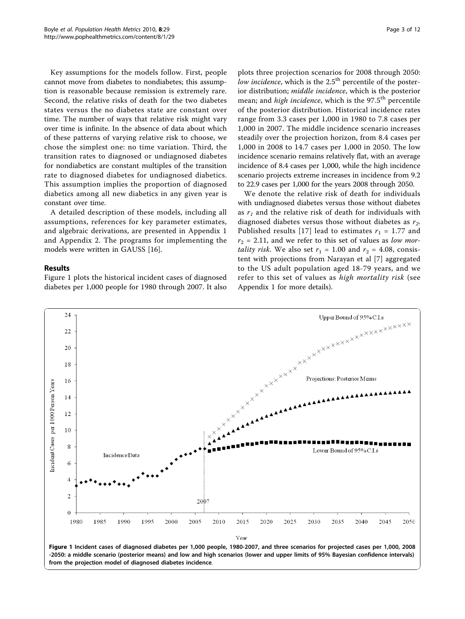Key assumptions for the models follow. First, people cannot move from diabetes to nondiabetes; this assumption is reasonable because remission is extremely rare. Second, the relative risks of death for the two diabetes states versus the no diabetes state are constant over time. The number of ways that relative risk might vary over time is infinite. In the absence of data about which of these patterns of varying relative risk to choose, we chose the simplest one: no time variation. Third, the transition rates to diagnosed or undiagnosed diabetes for nondiabetics are constant multiples of the transition rate to diagnosed diabetes for undiagnosed diabetics. This assumption implies the proportion of diagnosed diabetics among all new diabetics in any given year is constant over time.

A detailed description of these models, including all assumptions, references for key parameter estimates, and algebraic derivations, are presented in Appendix 1 and Appendix 2. The programs for implementing the models were written in GAUSS [[16](#page-10-0)].

#### Results

Figure 1 plots the historical incident cases of diagnosed diabetes per 1,000 people for 1980 through 2007. It also

plots three projection scenarios for 2008 through 2050: low incidence, which is the 2.5<sup>th</sup> percentile of the posterior distribution; middle incidence, which is the posterior mean; and *high incidence*, which is the 97.5<sup>th</sup> percentile of the posterior distribution. Historical incidence rates range from 3.3 cases per 1,000 in 1980 to 7.8 cases per 1,000 in 2007. The middle incidence scenario increases steadily over the projection horizon, from 8.4 cases per 1,000 in 2008 to 14.7 cases per 1,000 in 2050. The low incidence scenario remains relatively flat, with an average incidence of 8.4 cases per 1,000, while the high incidence scenario projects extreme increases in incidence from 9.2 to 22.9 cases per 1,000 for the years 2008 through 2050.

We denote the relative risk of death for individuals with undiagnosed diabetes versus those without diabetes as  $r_1$  and the relative risk of death for individuals with diagnosed diabetes versus those without diabetes as  $r_2$ . Published results [[17](#page-10-0)] lead to estimates  $r_1 = 1.77$  and  $r_2$  = 2.11, and we refer to this set of values as low mor*tality risk*. We also set  $r_1 = 1.00$  and  $r_2 = 4.08$ , consistent with projections from Narayan et al [\[7](#page-10-0)] aggregated to the US adult population aged 18-79 years, and we refer to this set of values as high mortality risk (see Appendix 1 for more details).

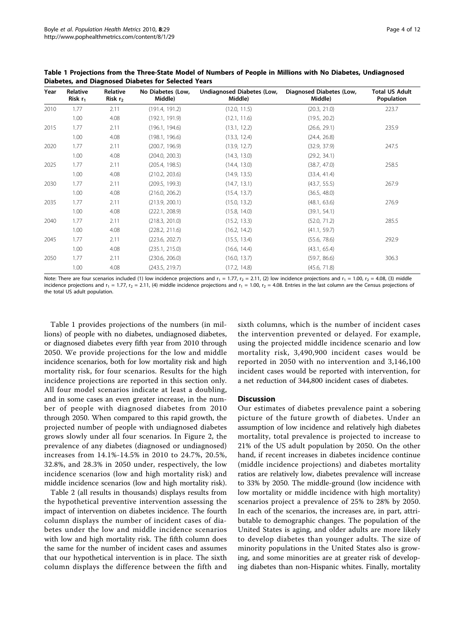| Year | Relative<br>Risk $r_1$ | Relative<br>Risk $r2$ | No Diabetes (Low,<br>Middle) | Undiagnosed Diabetes (Low,<br>Middle) | Diagnosed Diabetes (Low,<br>Middle) | <b>Total US Adult</b><br>Population |
|------|------------------------|-----------------------|------------------------------|---------------------------------------|-------------------------------------|-------------------------------------|
| 2010 | 1.77                   | 2.11                  | (191.4, 191.2)               | (12.0, 11.5)                          | (20.3, 21.0)                        | 223.7                               |
|      | 1.00                   | 4.08                  | (192.1, 191.9)               | (12.1, 11.6)                          | (19.5, 20.2)                        |                                     |
| 2015 | 1.77                   | 2.11                  | (196.1, 194.6)               | (13.1, 12.2)                          | (26.6, 29.1)                        | 235.9                               |
|      | 1.00                   | 4.08                  | (198.1, 196.6)               | (13.3, 12.4)                          | (24.4, 26.8)                        |                                     |
| 2020 | 1.77                   | 2.11                  | (200.7, 196.9)               | (13.9, 12.7)                          | (32.9, 37.9)                        | 247.5                               |
|      | 1.00                   | 4.08                  | (204.0, 200.3)               | (14.3, 13.0)                          | (29.2, 34.1)                        |                                     |
| 2025 | 1.77                   | 2.11                  | (205.4, 198.5)               | (14.4, 13.0)                          | (38.7, 47.0)                        | 258.5                               |
|      | 1.00                   | 4.08                  | (210.2, 203.6)               | (14.9, 13.5)                          | (33.4, 41.4)                        |                                     |
| 2030 | 1.77                   | 2.11                  | (209.5, 199.3)               | (14.7, 13.1)                          | (43.7, 55.5)                        | 267.9                               |
|      | 1.00                   | 4.08                  | (216.0, 206.2)               | (15.4, 13.7)                          | (36.5, 48.0)                        |                                     |
| 2035 | 1.77                   | 2.11                  | (213.9, 200.1)               | (15.0, 13.2)                          | (48.1, 63.6)                        | 276.9                               |
|      | 1.00                   | 4.08                  | (222.1, 208.9)               | (15.8, 14.0)                          | (39.1, 54.1)                        |                                     |
| 2040 | 1.77                   | 2.11                  | (218.3, 201.0)               | (15.2, 13.3)                          | (52.0, 71.2)                        | 285.5                               |
|      | 1.00                   | 4.08                  | (228.2, 211.6)               | (16.2, 14.2)                          | (41.1, 59.7)                        |                                     |
| 2045 | 1.77                   | 2.11                  | (223.6, 202.7)               | (15.5, 13.4)                          | (55.6, 78.6)                        | 292.9                               |
|      | 1.00                   | 4.08                  | (235.1, 215.0)               | (16.6, 14.4)                          | (43.1, 65.4)                        |                                     |
| 2050 | 1.77                   | 2.11                  | (230.6, 206.0)               | (16.0, 13.7)                          | (59.7, 86.6)                        | 306.3                               |
|      | 1.00                   | 4.08                  | (243.5, 219.7)               | (17.2, 14.8)                          | (45.6, 71.8)                        |                                     |

Table 1 Projections from the Three-State Model of Numbers of People in Millions with No Diabetes, Undiagnosed Diabetes, and Diagnosed Diabetes for Selected Years

Note: There are four scenarios included (1) low incidence projections and  $r_1 = 1.77$ ,  $r_2 = 2.11$ , (2) low incidence projections and  $r_1 = 1.00$ ,  $r_2 = 4.08$ , (3) middle incidence projections and  $r_1 = 1.77$ ,  $r_2 = 2.11$ , (4) middle incidence projections and  $r_1 = 1.00$ ,  $r_2 = 4.08$ . Entries in the last column are the Census projections of the total US adult population.

Table 1 provides projections of the numbers (in millions) of people with no diabetes, undiagnosed diabetes, or diagnosed diabetes every fifth year from 2010 through 2050. We provide projections for the low and middle incidence scenarios, both for low mortality risk and high mortality risk, for four scenarios. Results for the high incidence projections are reported in this section only. All four model scenarios indicate at least a doubling, and in some cases an even greater increase, in the number of people with diagnosed diabetes from 2010 through 2050. When compared to this rapid growth, the projected number of people with undiagnosed diabetes grows slowly under all four scenarios. In Figure [2](#page-4-0), the prevalence of any diabetes (diagnosed or undiagnosed) increases from 14.1%-14.5% in 2010 to 24.7%, 20.5%, 32.8%, and 28.3% in 2050 under, respectively, the low incidence scenarios (low and high mortality risk) and middle incidence scenarios (low and high mortality risk).

Table [2](#page-4-0) (all results in thousands) displays results from the hypothetical preventive intervention assessing the impact of intervention on diabetes incidence. The fourth column displays the number of incident cases of diabetes under the low and middle incidence scenarios with low and high mortality risk. The fifth column does the same for the number of incident cases and assumes that our hypothetical intervention is in place. The sixth column displays the difference between the fifth and sixth columns, which is the number of incident cases the intervention prevented or delayed. For example, using the projected middle incidence scenario and low mortality risk, 3,490,900 incident cases would be reported in 2050 with no intervention and 3,146,100 incident cases would be reported with intervention, for a net reduction of 344,800 incident cases of diabetes.

#### **Discussion**

Our estimates of diabetes prevalence paint a sobering picture of the future growth of diabetes. Under an assumption of low incidence and relatively high diabetes mortality, total prevalence is projected to increase to 21% of the US adult population by 2050. On the other hand, if recent increases in diabetes incidence continue (middle incidence projections) and diabetes mortality ratios are relatively low, diabetes prevalence will increase to 33% by 2050. The middle-ground (low incidence with low mortality or middle incidence with high mortality) scenarios project a prevalence of 25% to 28% by 2050. In each of the scenarios, the increases are, in part, attributable to demographic changes. The population of the United States is aging, and older adults are more likely to develop diabetes than younger adults. The size of minority populations in the United States also is growing, and some minorities are at greater risk of developing diabetes than non-Hispanic whites. Finally, mortality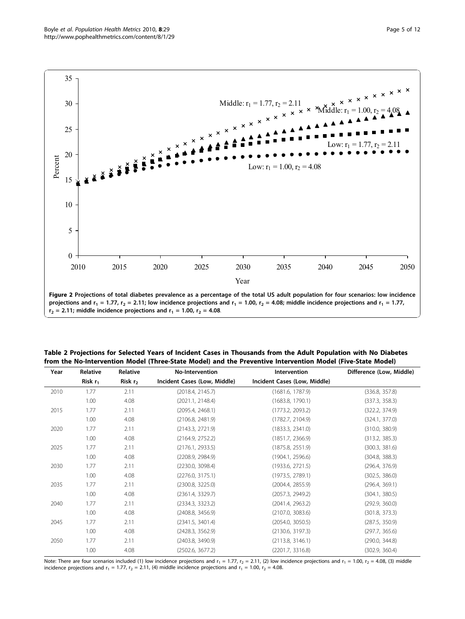<span id="page-4-0"></span>

Table 2 Projections for Selected Years of Incident Cases in Thousands from the Adult Population with No Diabetes from the No-Intervention Model (Three-State Model) and the Preventive Intervention Model (Five-State Model)

| Year | Relative   | Relative  | <b>No-Intervention</b>       | Intervention                 | Difference (Low, Middle) |
|------|------------|-----------|------------------------------|------------------------------|--------------------------|
|      | Risk $r_1$ | Risk $r2$ | Incident Cases (Low, Middle) | Incident Cases (Low, Middle) |                          |
| 2010 | 1.77       | 2.11      | (2018.4, 2145.7)             | (1681.6, 1787.9)             | (336.8, 357.8)           |
|      | 1.00       | 4.08      | (2021.1, 2148.4)             | (1683.8, 1790.1)             | (337.3, 358.3)           |
| 2015 | 1.77       | 2.11      | (2095.4, 2468.1)             | (1773.2, 2093.2)             | (322.2, 374.9)           |
|      | 1.00       | 4.08      | (2106.8, 2481.9)             | (1782.7, 2104.9)             | (324.1, 377.0)           |
| 2020 | 1.77       | 2.11      | (2143.3, 2721.9)             | (1833.3, 2341.0)             | (310.0, 380.9)           |
|      | 1.00       | 4.08      | (2164.9, 2752.2)             | (1851.7, 2366.9)             | (313.2, 385.3)           |
| 2025 | 1.77       | 2.11      | (2176.1, 2933.5)             | (1875.8, 2551.9)             | (300.3, 381.6)           |
|      | 1.00       | 4.08      | (2208.9, 2984.9)             | (1904.1, 2596.6)             | (304.8, 388.3)           |
| 2030 | 1.77       | 2.11      | (2230.0, 3098.4)             | (1933.6, 2721.5)             | (296.4, 376.9)           |
|      | 1.00       | 4.08      | (2276.0, 3175.1)             | (1973.5, 2789.1)             | (302.5, 386.0)           |
| 2035 | 1.77       | 2.11      | (2300.8, 3225.0)             | (2004.4, 2855.9)             | (296.4, 369.1)           |
|      | 1.00       | 4.08      | (2361.4, 3329.7)             | (2057.3, 2949.2)             | (304.1, 380.5)           |
| 2040 | 1.77       | 2.11      | (2334.3, 3323.2)             | (2041.4, 2963.2)             | (292.9, 360.0)           |
|      | 1.00       | 4.08      | (2408.8, 3456.9)             | (2107.0, 3083.6)             | (301.8, 373.3)           |
| 2045 | 1.77       | 2.11      | (2341.5, 3401.4)             | (2054.0, 3050.5)             | (287.5, 350.9)           |
|      | 1.00       | 4.08      | (2428.3, 3562.9)             | (2130.6, 3197.3)             | (297.7, 365.6)           |
| 2050 | 1.77       | 2.11      | (2403.8, 3490.9)             | (2113.8, 3146.1)             | (290.0, 344.8)           |
|      | 1.00       | 4.08      | (2502.6, 3677.2)             | (2201.7, 3316.8)             | (302.9, 360.4)           |

Note: There are four scenarios included (1) low incidence projections and  $r_1 = 1.77$ ,  $r_2 = 2.11$ , (2) low incidence projections and  $r_1 = 1.00$ ,  $r_2 = 4.08$ , (3) middle incidence projections and  $r_1 = 1.77$ ,  $r_2 = 2.11$ , (4) middle incidence projections and  $r_1 = 1.00$ ,  $r_2 = 4.08$ .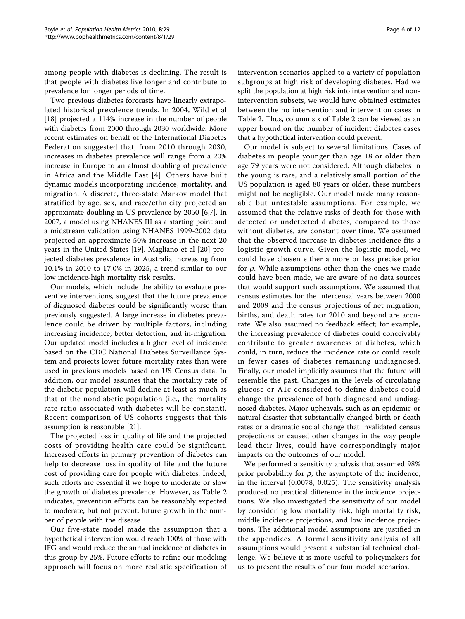among people with diabetes is declining. The result is that people with diabetes live longer and contribute to prevalence for longer periods of time.

Two previous diabetes forecasts have linearly extrapolated historical prevalence trends. In 2004, Wild et al [[18\]](#page-10-0) projected a 114% increase in the number of people with diabetes from 2000 through 2030 worldwide. More recent estimates on behalf of the International Diabetes Federation suggested that, from 2010 through 2030, increases in diabetes prevalence will range from a 20% increase in Europe to an almost doubling of prevalence in Africa and the Middle East [[4\]](#page-10-0). Others have built dynamic models incorporating incidence, mortality, and migration. A discrete, three-state Markov model that stratified by age, sex, and race/ethnicity projected an approximate doubling in US prevalence by 2050 [\[6,7](#page-10-0)]. In 2007, a model using NHANES III as a starting point and a midstream validation using NHANES 1999-2002 data projected an approximate 50% increase in the next 20 years in the United States [\[19\]](#page-10-0). Magliano et al [\[20](#page-10-0)] projected diabetes prevalence in Australia increasing from 10.1% in 2010 to 17.0% in 2025, a trend similar to our low incidence-high mortality risk results.

Our models, which include the ability to evaluate preventive interventions, suggest that the future prevalence of diagnosed diabetes could be significantly worse than previously suggested. A large increase in diabetes prevalence could be driven by multiple factors, including increasing incidence, better detection, and in-migration. Our updated model includes a higher level of incidence based on the CDC National Diabetes Surveillance System and projects lower future mortality rates than were used in previous models based on US Census data. In addition, our model assumes that the mortality rate of the diabetic population will decline at least as much as that of the nondiabetic population (i.e., the mortality rate ratio associated with diabetes will be constant). Recent comparison of US cohorts suggests that this assumption is reasonable [[21](#page-10-0)].

The projected loss in quality of life and the projected costs of providing health care could be significant. Increased efforts in primary prevention of diabetes can help to decrease loss in quality of life and the future cost of providing care for people with diabetes. Indeed, such efforts are essential if we hope to moderate or slow the growth of diabetes prevalence. However, as Table [2](#page-4-0) indicates, prevention efforts can be reasonably expected to moderate, but not prevent, future growth in the number of people with the disease.

Our five-state model made the assumption that a hypothetical intervention would reach 100% of those with IFG and would reduce the annual incidence of diabetes in this group by 25%. Future efforts to refine our modeling approach will focus on more realistic specification of intervention scenarios applied to a variety of population subgroups at high risk of developing diabetes. Had we split the population at high risk into intervention and nonintervention subsets, we would have obtained estimates between the no intervention and intervention cases in Table [2](#page-4-0). Thus, column six of Table [2](#page-4-0) can be viewed as an upper bound on the number of incident diabetes cases that a hypothetical intervention could prevent.

Our model is subject to several limitations. Cases of diabetes in people younger than age 18 or older than age 79 years were not considered. Although diabetes in the young is rare, and a relatively small portion of the US population is aged 80 years or older, these numbers might not be negligible. Our model made many reasonable but untestable assumptions. For example, we assumed that the relative risks of death for those with detected or undetected diabetes, compared to those without diabetes, are constant over time. We assumed that the observed increase in diabetes incidence fits a logistic growth curve. Given the logistic model, we could have chosen either a more or less precise prior for  $\rho$ . While assumptions other than the ones we made could have been made, we are aware of no data sources that would support such assumptions. We assumed that census estimates for the intercensal years between 2000 and 2009 and the census projections of net migration, births, and death rates for 2010 and beyond are accurate. We also assumed no feedback effect; for example, the increasing prevalence of diabetes could conceivably contribute to greater awareness of diabetes, which could, in turn, reduce the incidence rate or could result in fewer cases of diabetes remaining undiagnosed. Finally, our model implicitly assumes that the future will resemble the past. Changes in the levels of circulating glucose or A1c considered to define diabetes could change the prevalence of both diagnosed and undiagnosed diabetes. Major upheavals, such as an epidemic or natural disaster that substantially changed birth or death rates or a dramatic social change that invalidated census projections or caused other changes in the way people lead their lives, could have correspondingly major impacts on the outcomes of our model.

We performed a sensitivity analysis that assumed 98% prior probability for  $\rho$ , the asymptote of the incidence, in the interval (0.0078, 0.025). The sensitivity analysis produced no practical difference in the incidence projections. We also investigated the sensitivity of our model by considering low mortality risk, high mortality risk, middle incidence projections, and low incidence projections. The additional model assumptions are justified in the appendices. A formal sensitivity analysis of all assumptions would present a substantial technical challenge. We believe it is more useful to policymakers for us to present the results of our four model scenarios.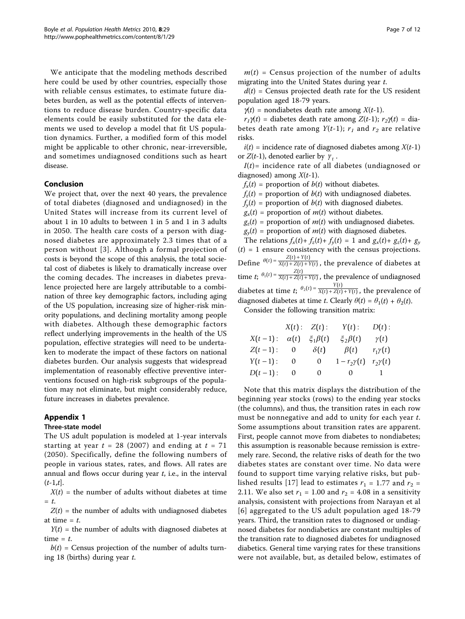We anticipate that the modeling methods described here could be used by other countries, especially those with reliable census estimates, to estimate future diabetes burden, as well as the potential effects of interventions to reduce disease burden. Country-specific data elements could be easily substituted for the data elements we used to develop a model that fit US population dynamics. Further, a modified form of this model might be applicable to other chronic, near-irreversible, and sometimes undiagnosed conditions such as heart disease.

#### Conclusion

We project that, over the next 40 years, the prevalence of total diabetes (diagnosed and undiagnosed) in the United States will increase from its current level of about 1 in 10 adults to between 1 in 5 and 1 in 3 adults in 2050. The health care costs of a person with diagnosed diabetes are approximately 2.3 times that of a person without [[3](#page-10-0)]. Although a formal projection of costs is beyond the scope of this analysis, the total societal cost of diabetes is likely to dramatically increase over the coming decades. The increases in diabetes prevalence projected here are largely attributable to a combination of three key demographic factors, including aging of the US population, increasing size of higher-risk minority populations, and declining mortality among people with diabetes. Although these demographic factors reflect underlying improvements in the health of the US population, effective strategies will need to be undertaken to moderate the impact of these factors on national diabetes burden. Our analysis suggests that widespread implementation of reasonably effective preventive interventions focused on high-risk subgroups of the population may not eliminate, but might considerably reduce, future increases in diabetes prevalence.

# Appendix 1

#### Three-state model

The US adult population is modeled at 1-year intervals starting at year  $t = 28$  (2007) and ending at  $t = 71$ (2050). Specifically, define the following numbers of people in various states, rates, and flows. All rates are annual and flows occur during year  $t$ , i.e., in the interval  $(t-1,t]$ .

 $X(t)$  = the number of adults without diabetes at time  $=$  t.

 $Z(t)$  = the number of adults with undiagnosed diabetes at time  $=$  t.

 $Y(t)$  = the number of adults with diagnosed diabetes at time  $= t$ .

 $b(t)$  = Census projection of the number of adults turning 18 (births) during year t.

 $m(t)$  = Census projection of the number of adults migrating into the United States during year t.

 $d(t)$  = Census projected death rate for the US resident population aged 18-79 years.

 $\gamma(t)$  = nondiabetes death rate among  $X(t-1)$ .

 $r_1\gamma(t)$  = diabetes death rate among  $Z(t-1)$ ;  $r_2\gamma(t)$  = diabetes death rate among  $Y(t-1)$ ;  $r_1$  and  $r_2$  are relative risks.

 $i(t)$  = incidence rate of diagnosed diabetes among  $X(t-1)$ or  $Z(t-1)$ , denoted earlier by  $\gamma_t$ .

 $I(t)$ = incidence rate of all diabetes (undiagnosed or diagnosed) among  $X(t-1)$ .

 $f_x(t)$  = proportion of  $b(t)$  without diabetes.

 $f_z(t)$  = proportion of  $b(t)$  with undiagnosed diabetes.

 $f_{\gamma}(t)$  = proportion of  $b(t)$  with diagnosed diabetes.

 $g_x(t)$  = proportion of  $m(t)$  without diabetes.

 $g_z(t)$  = proportion of  $m(t)$  with undiagnosed diabetes.  $g_y(t)$  = proportion of  $m(t)$  with diagnosed diabetes.

The relations  $f_x(t) + f_z(t) + f_y(t) = 1$  and  $g_x(t) + g_z(t) + g_y(t)$  $(t) = 1$  ensure consistency with the census projections. Define  $\theta(t) = \frac{Z(t) + Y(t)}{X(t) + Z(t) + Y(t)}$ , the prevalence of diabetes at time *t*;  $\theta_1(t) = \frac{Z(t)}{X(t) + Z(t) + Y(t)}$ , the prevalence of undiagnosed diabetes at time *t*;  $\theta_2(t) = \frac{Y(t)}{X(t) + Z(t) + Y(t)}$ , the prevalence of diagnosed diabetes at time t. Clearly  $\theta(t) = \theta_1(t) + \theta_2(t)$ .

Consider the following transition matrix:

|            |             | X(t): Z(t):     | $Y(t)$ :         | $D(t)$ :       |
|------------|-------------|-----------------|------------------|----------------|
| $X(t-1)$ : | $\alpha(t)$ | $\xi_1\beta(t)$ | $\xi_2\beta(t)$  | $\gamma(t)$    |
| $Z(t-1)$ : | -0          | $\delta(t)$     | $\beta(t)$       | $r_1\gamma(t)$ |
| $Y(t-1)$ : | 0           | 0               | $1-r_2\gamma(t)$ | $r_2\gamma(t)$ |
| $D(t-1)$ : | O           | 0               | $\mathbf{0}$     |                |

Note that this matrix displays the distribution of the beginning year stocks (rows) to the ending year stocks (the columns), and thus, the transition rates in each row must be nonnegative and add to unity for each year t. Some assumptions about transition rates are apparent. First, people cannot move from diabetes to nondiabetes; this assumption is reasonable because remission is extremely rare. Second, the relative risks of death for the two diabetes states are constant over time. No data were found to support time varying relative risks, but pub-lished results [[17\]](#page-10-0) lead to estimates  $r_1 = 1.77$  and  $r_2 =$ 2.11. We also set  $r_1 = 1.00$  and  $r_2 = 4.08$  in a sensitivity analysis, consistent with projections from Narayan et al [[6](#page-10-0)] aggregated to the US adult population aged 18-79 years. Third, the transition rates to diagnosed or undiagnosed diabetes for nondiabetics are constant multiples of the transition rate to diagnosed diabetes for undiagnosed diabetics. General time varying rates for these transitions were not available, but, as detailed below, estimates of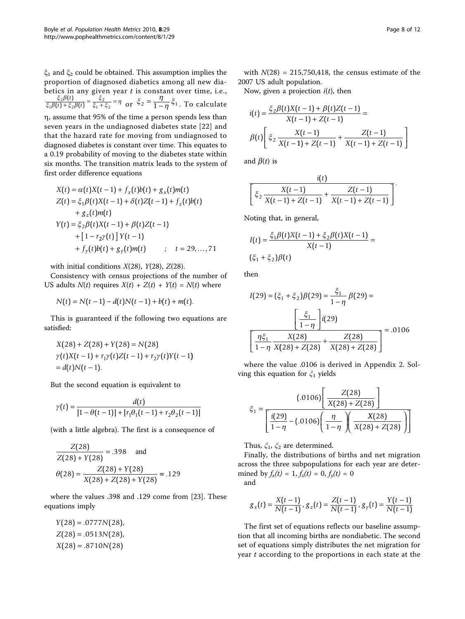$\xi_1$  and  $\xi_2$  could be obtained. This assumption implies the proportion of diagnosed diabetics among all new diabetics in any given year  $t$  is constant over time, i.e.,  $\xi_2\beta$  $\xi_1\beta(t) + \xi_2\beta$  $\frac{\xi_2 \beta(t)}{1 \beta(t) + \xi_2 \beta(t)} = \frac{\xi_2}{\xi_1 + \xi_2} = \eta$ 2  $1 + 52$  $(t)$  $(t) + \xi_2 \beta(t)$  $\frac{\xi_2 \beta(t)}{t_1 + \xi_2 \beta(t)} = \frac{\xi_2}{\xi_1 + \xi_2} = \eta$  or  $\xi_2 = \frac{\eta}{1 - \eta} \xi_1$ . To calculate h, assume that 95% of the time a person spends less than

seven years in the undiagnosed diabetes state [\[22\]](#page-10-0) and that the hazard rate for moving from undiagnosed to diagnosed diabetes is constant over time. This equates to a 0.19 probability of moving to the diabetes state within six months. The transition matrix leads to the system of first order difference equations

$$
X(t) = \alpha(t)X(t-1) + f_x(t)b(t) + g_x(t)m(t)
$$
  
\n
$$
Z(t) = \xi_1 \beta(t)X(t-1) + \delta(t)Z(t-1) + f_z(t)b(t)
$$
  
\n
$$
+ g_z(t)m(t)
$$
  
\n
$$
Y(t) = \xi_2 \beta(t)X(t-1) + \beta(t)Z(t-1)
$$
  
\n
$$
+ [1 - r_2\gamma(t)] Y(t-1)
$$
  
\n
$$
+ f_y(t)b(t) + g_y(t)m(t) \qquad ; \quad t = 29,...,71
$$

with initial conditions  $X(28)$ ,  $Y(28)$ ,  $Z(28)$ .

Consistency with census projections of the number of US adults  $N(t)$  requires  $X(t) + Z(t) + Y(t) = N(t)$  where

$$
N(t) = N(t-1) - d(t)N(t-1) + b(t) + m(t).
$$

This is guaranteed if the following two equations are satisfied:

$$
X(28) + Z(28) + Y(28) = N(28)
$$
  
\n
$$
\gamma(t)X(t-1) + r_1\gamma(t)Z(t-1) + r_2\gamma(t)Y(t-1)
$$
  
\n
$$
= d(t)N(t-1).
$$

But the second equation is equivalent to

$$
\gamma(t) = \frac{d(t)}{[1 - \theta(t-1)] + [r_1\theta_1(t-1) + r_2\theta_2(t-1)]}
$$

(with a little algebra). The first is a consequence of

$$
\frac{Z(28)}{Z(28) + Y(28)} = .398 \text{ and}
$$

$$
\theta(28) = \frac{Z(28) + Y(28)}{X(28) + Z(28) + Y(28)} = .129
$$

where the values .398 and .129 come from [[23](#page-11-0)]. These equations imply

$$
Y(28) = .0777N(28),
$$
  
Z(28) = .0513N(28),  
X(28) = .8710N(28)

with  $N(28) = 215,750,418$ , the census estimate of the 2007 US adult population.

Now, given a projection  $i(t)$ , then

$$
i(t) = \frac{\xi_2 \beta(t)X(t-1) + \beta(t)Z(t-1)}{X(t-1) + Z(t-1)} =
$$
  

$$
\beta(t) \left[ \xi_2 \frac{X(t-1)}{X(t-1) + Z(t-1)} + \frac{Z(t-1)}{X(t-1) + Z(t-1)} \right]
$$

and  $\beta(t)$  is

$$
\frac{i(t)}{\left[\xi_2 \frac{X(t-1)}{X(t-1)+Z(t-1)} + \frac{Z(t-1)}{X(t-1)+Z(t-1)}\right]}.
$$

Noting that, in general,

$$
I(t) = \frac{\xi_1 \beta(t) X(t-1) + \xi_2 \beta(t) X(t-1)}{X(t-1)} =
$$
  
( $\xi_1 + \xi_2$ ) $\beta(t)$ 

then

$$
I(29) = (\xi_1 + \xi_2)\beta(29) = \frac{\xi_1}{1 - \eta}\beta(29) =
$$

$$
\frac{\left[\frac{\xi_1}{1 - \eta}\right]i(29)}{\left[\frac{\eta\xi_1}{1 - \eta}\right]X(28)} = .0106
$$

$$
\frac{\eta\xi_1}{1 - \eta}\frac{X(28)}{X(28) + Z(28)} + \frac{Z(28)}{X(28) + Z(28)} = .0106
$$

where the value .0106 is derived in Appendix 2. Solving this equation for  $\zeta_1$  yields

$$
\xi_1 = \frac{(.0106) \left[ \frac{Z(28)}{X(28) + Z(28)} \right]}{\left[ \frac{i(29)}{1 - \eta} - (.0106) \left( \frac{\eta}{1 - \eta} \right) \left( \frac{X(28)}{X(28) + Z(28)} \right) \right]}
$$

Thus,  $\xi_1$ ,  $\xi_2$  are determined.

Finally, the distributions of births and net migration across the three subpopulations for each year are determined by  $f_x(t) = 1$ ,  $f_z(t) = 0$ ,  $f_y(t) = 0$ and

$$
g_x(t) = \frac{X(t-1)}{N(t-1)}, g_z(t) = \frac{Z(t-1)}{N(t-1)}, g_y(t) = \frac{Y(t-1)}{N(t-1)}
$$

The first set of equations reflects our baseline assumption that all incoming births are nondiabetic. The second set of equations simply distributes the net migration for year t according to the proportions in each state at the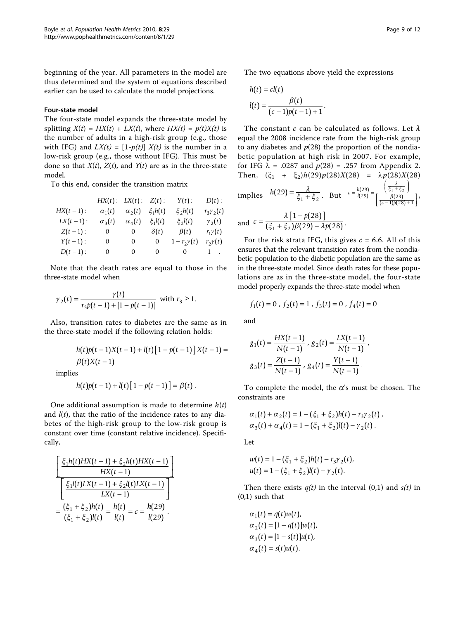beginning of the year. All parameters in the model are thus determined and the system of equations described earlier can be used to calculate the model projections.

#### Four-state model

The four-state model expands the three-state model by splitting  $X(t) = HX(t) + LX(t)$ , where  $HX(t) = p(t)X(t)$  is the number of adults in a high-risk group (e.g., those with IFG) and  $LX(t) = [1-p(t)] X(t)$  is the number in a low-risk group (e.g., those without IFG). This must be done so that  $X(t)$ ,  $Z(t)$ , and  $Y(t)$  are as in the three-state model.

To this end, consider the transition matrix

|             | HX(t): LX(t): |                     | $Z(t)$ :     | Y(t):            | $D(t)$ :          |
|-------------|---------------|---------------------|--------------|------------------|-------------------|
| $HX(t-1):$  | $\alpha_1(t)$ | $\alpha_2(t)$       | $\xi_1 h(t)$ | $\xi_2h(t)$      | $r_3 \gamma_2(t)$ |
| $LX(t-1)$ : | $\alpha_3(t)$ | $\alpha_{\rm A}(t)$ | $\xi_1 l(t)$ | $\xi_2 l(t)$     | $\gamma_2(t)$     |
| $Z(t-1)$ :  | 0             | 0                   | $\delta(t)$  | $\beta(t)$       | $r_1\gamma(t)$    |
| $Y(t-1)$ :  | 0             | $\Omega$            | 0            | $1-r_2\gamma(t)$ | $r_2\gamma(t)$    |
| $D(t-1)$ :  | 0             | $\Omega$            |              | $0 \qquad 0$     | $1$ .             |

Note that the death rates are equal to those in the three-state model when

$$
\gamma_2(t) = \frac{\gamma(t)}{r_3 p(t-1) + [1 - p(t-1)]} \text{ with } r_3 \ge 1.
$$

Also, transition rates to diabetes are the same as in the three-state model if the following relation holds:

$$
h(t)p(t-1)X(t-1) + l(t)[1 - p(t-1)]X(t-1) =
$$
  
 
$$
\beta(t)X(t-1)
$$

implies

$$
h(t)p(t-1)+l(t)[1-p(t-1)]=\beta(t).
$$

One additional assumption is made to determine  $h(t)$ and  $l(t)$ , that the ratio of the incidence rates to any diabetes of the high-risk group to the low-risk group is constant over time (constant relative incidence). Specifically,

$$
\frac{\left[\frac{\xi_1 h(t) H X(t-1) + \xi_2 h(t) H X(t-1)}{H X(t-1)}\right]}{\left[\frac{\xi_1 l(t) L X(t-1) + \xi_2 l(t) L X(t-1)}{L X(t-1)}\right]}
$$
\n
$$
=\frac{(\xi_1 + \xi_2) h(t)}{(\xi_1 + \xi_2) l(t)} = \frac{h(t)}{l(t)} = c = \frac{h(29)}{l(29)}.
$$

The two equations above yield the expressions

$$
h(t) = cl(t)
$$
  

$$
l(t) = \frac{\beta(t)}{(c-1)p(t-1)+1}.
$$

The constant c can be calculated as follows. Let  $\lambda$ equal the 2008 incidence rate from the high-risk group to any diabetes and  $p(28)$  the proportion of the nondiabetic population at high risk in 2007. For example, for IFG  $\lambda$  = .0287 and  $p(28)$  = .257 from Appendix 2. Then,  $(\xi_1 + \xi_2)h(29)p(28)X(28) = \lambda p(28)X(28)$ 

implies 
$$
h(29) = \frac{\lambda}{\xi_1 + \xi_2}
$$
. But  $c = \frac{h(29)}{l(29)} = \frac{\frac{\lambda}{\xi_1 + \xi_2}}{\frac{\beta(29)}{c - 1}\beta(28) + 1}$ ,

and 
$$
c = \frac{\lambda [1 - p(28)]}{(\xi_1 + \xi_2)\beta(29) - \lambda p(28)}
$$
.

For the risk strata IFG, this gives  $c = 6.6$ . All of this ensures that the relevant transition rates from the nondiabetic population to the diabetic population are the same as in the three-state model. Since death rates for these populations are as in the three-state model, the four-state model properly expands the three-state model when

$$
f_1(t) = 0, f_2(t) = 1, f_3(t) = 0, f_4(t) = 0
$$

and

$$
g_1(t) = \frac{HX(t-1)}{N(t-1)}, g_2(t) = \frac{LX(t-1)}{N(t-1)},
$$
  

$$
g_3(t) = \frac{Z(t-1)}{N(t-1)}, g_4(t) = \frac{Y(t-1)}{N(t-1)}.
$$

To complete the model, the  $\alpha$ 's must be chosen. The constraints are

$$
\alpha_1(t) + \alpha_2(t) = 1 - (\xi_1 + \xi_2)h(t) - r_3\gamma_2(t),
$$
  
\n
$$
\alpha_3(t) + \alpha_4(t) = 1 - (\xi_1 + \xi_2)l(t) - \gamma_2(t).
$$

Let

$$
w(t) = 1 - (\xi_1 + \xi_2)h(t) - r_3\gamma_2(t),
$$
  
 
$$
u(t) = 1 - (\xi_1 + \xi_2)l(t) - \gamma_2(t).
$$

Then there exists  $q(t)$  in the interval (0,1) and  $s(t)$  in (0,1) such that

$$
\alpha_1(t) = q(t)w(t),
$$
  
\n
$$
\alpha_2(t) = [1 - q(t)]w(t),
$$
  
\n
$$
\alpha_3(t) = [1 - s(t)]u(t),
$$
  
\n
$$
\alpha_4(t) = s(t)u(t).
$$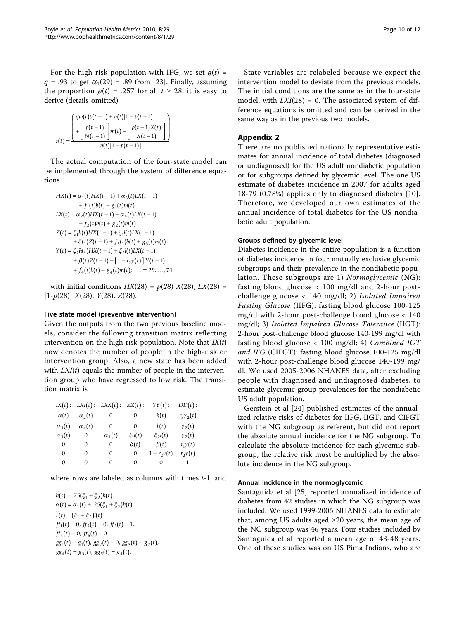For the high-risk population with IFG, we set  $q(t)$  =  $q = .93$  to get  $\alpha_1(29) = .89$  from [[23\]](#page-11-0). Finally, assuming the proportion  $p(t) = .257$  for all  $t \ge 28$ , it is easy to derive (details omitted)

$$
s(t) = \frac{\begin{pmatrix} qw(t)p(t-1) + u(t)[1 - p(t-1)] \\ + \left[ \frac{p(t-1)}{N(t-1)} \right] m(t) - \left[ \frac{p(t-1)X(t)}{X(t-1)} \right] \\ u(t)[1 - p(t-1)] \end{pmatrix}}{u(t)[1 - p(t-1)]}.
$$

The actual computation of the four-state model can be implemented through the system of difference equations

$$
HX(t) = \alpha_1(t)HX(t-1) + \alpha_3(t)LX(t-1) + f_1(t)b(t) + g_1(t)m(t) LX(t) = \alpha_2(t)HX(t-1) + \alpha_4(t)LX(t-1) + f_2(t)b(t) + g_2(t)m(t) Z(t) = \xi_1h(t)HX(t-1) + \xi_1(t)LX(t-1) + \delta(t)Z(t-1) + f_3(t)b(t) + g_3(t)m(t) Y(t) = \xi_2h(t)HX(t-1) + \xi_2I(t)LX(t-1) + \beta(t)Z(t-1) + [1-r_2\gamma(t)] Y(t-1) + f_4(t)b(t) + g_4(t)m(t); t = 29,...,71
$$

with initial conditions  $HX(28) = p(28) X(28)$ ,  $LX(28) =$  $[1-p(28)]$   $X(28)$ ,  $Y(28)$ ,  $Z(28)$ .

#### Five state model (preventive intervention)

Given the outputs from the two previous baseline models, consider the following transition matrix reflecting intervention on the high-risk population. Note that  $IX(t)$ now denotes the number of people in the high-risk or intervention group. Also, a new state has been added with  $LXI(t)$  equals the number of people in the intervention group who have regressed to low risk. The transition matrix is

| IX(t):              |                 | LXI(t): LXX(t): ZZ(t): |              | YY(t):             | $DD(t)$ :         |
|---------------------|-----------------|------------------------|--------------|--------------------|-------------------|
| $\tilde{\alpha}(t)$ | $\alpha_{2}(t)$ | 0                      | 0            | h(t)               | $r_3 \gamma_2(t)$ |
| $\alpha_3(t)$       | $\alpha_4(t)$   | $\Omega$               | $\Omega$     | $\tilde{l}(t)$     | $\gamma_2(t)$     |
| $\alpha_3(t)$       | 0               | $\alpha_4(t)$          | $\xi_1 l(t)$ | $\xi_2 l(t)$       | $\gamma_{2}(t)$   |
| $\Omega$            | 0               | 0                      | $\delta(t)$  | $\beta(t)$         | $r_1\gamma(t)$    |
| $\Omega$            | 0               | 0                      | 0            | $1-r_{2}\gamma(t)$ | $r_{2}\gamma(t)$  |
| 0                   | $\Omega$        | $\Omega$               | $\Omega$     | 0                  |                   |

where rows are labeled as columns with times  $t-1$ , and

 $\hat{h}(t) = .75(\xi_1 + \xi_2)h(t)$ J  $\hat{\alpha}(t) = \alpha_1(t) + .25(\xi_1 + \xi_2)h(t)$  $l(t) = (\xi_1 + \xi_2)l(t)$  $ff_1(t) = 0, ff_2(t) = 0, ff_3(t) = 1,$  $ff_4(t) = 0, ff_5(t) = 0$  $gg_1(t) = g_1(t), gg_2(t) = 0, gg_3(t) = g_2(t),$  $gg_4(t) = g_3(t), gg_5(t) = g_4(t).$ 

State variables are relabeled because we expect the intervention model to deviate from the previous models. The initial conditions are the same as in the four-state model, with  $LXI(28) = 0$ . The associated system of difference equations is omitted and can be derived in the same way as in the previous two models.

# Appendix 2

There are no published nationally representative estimates for annual incidence of total diabetes (diagnosed or undiagnosed) for the US adult nondiabetic population or for subgroups defined by glycemic level. The one US estimate of diabetes incidence in 2007 for adults aged 18-79 (0.78%) applies only to diagnosed diabetes [[10](#page-10-0)]. Therefore, we developed our own estimates of the annual incidence of total diabetes for the US nondiabetic adult population.

#### Groups defined by glycemic level

Diabetes incidence in the entire population is a function of diabetes incidence in four mutually exclusive glycemic subgroups and their prevalence in the nondiabetic population. These subgroups are 1) Normoglycemic (NG): fasting blood glucose < 100 mg/dl and 2-hour postchallenge glucose < 140 mg/dl; 2) Isolated Impaired Fasting Glucose (IIFG): fasting blood glucose 100-125 mg/dl with 2-hour post-challenge blood glucose < 140 mg/dl; 3) Isolated Impaired Glucose Tolerance (IIGT): 2-hour post-challenge blood glucose 140-199 mg/dl with fasting blood glucose < 100 mg/dl; 4) Combined IGT and IFG (CIFGT): fasting blood glucose 100-125 mg/dl with 2-hour post-challenge blood glucose 140-199 mg/ dl. We used 2005-2006 NHANES data, after excluding people with diagnosed and undiagnosed diabetes, to estimate glycemic group prevalences for the nondiabetic US adult population.

Gerstein et al [\[24](#page-11-0)] published estimates of the annualized relative risks of diabetes for IIFG, IIGT, and CIFGT with the NG subgroup as referent, but did not report the absolute annual incidence for the NG subgroup. To calculate the absolute incidence for each glycemic subgroup, the relative risk must be multiplied by the absolute incidence in the NG subgroup.

#### Annual incidence in the normoglycemic

Santaguida et al [\[25\]](#page-11-0) reported annualized incidence of diabetes from 42 studies in which the NG subgroup was included. We used 1999-2006 NHANES data to estimate that, among US adults aged  $\geq 20$  years, the mean age of the NG subgroup was 46 years. Four studies included by Santaguida et al reported a mean age of 43-48 years. One of these studies was on US Pima Indians, who are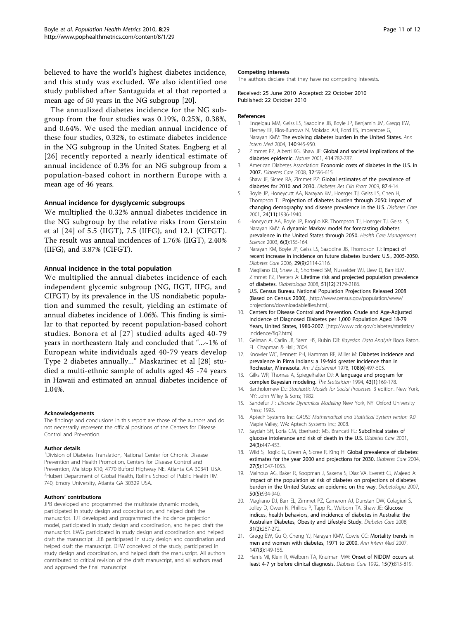<span id="page-10-0"></span>believed to have the world's highest diabetes incidence, and this study was excluded. We also identified one study published after Santaguida et al that reported a mean age of 50 years in the NG subgroup [20].

The annualized diabetes incidence for the NG subgroup from the four studies was 0.19%, 0.25%, 0.38%, and 0.64%. We used the median annual incidence of these four studies, 0.32%, to estimate diabetes incidence in the NG subgroup in the United States. Engberg et al [[26\]](#page-11-0) recently reported a nearly identical estimate of annual incidence of 0.3% for an NG subgroup from a population-based cohort in northern Europe with a mean age of 46 years.

#### Annual incidence for dysglycemic subgroups

We multiplied the 0.32% annual diabetes incidence in the NG subgroup by the relative risks from Gerstein et al [[24\]](#page-11-0) of 5.5 (IIGT), 7.5 (IIFG), and 12.1 (CIFGT). The result was annual incidences of 1.76% (IIGT), 2.40% (IIFG), and 3.87% (CIFGT).

#### Annual incidence in the total population

We multiplied the annual diabetes incidence of each independent glycemic subgroup (NG, IIGT, IIFG, and CIFGT) by its prevalence in the US nondiabetic population and summed the result, yielding an estimate of annual diabetes incidence of 1.06%. This finding is similar to that reported by recent population-based cohort studies. Bonora et al [[27\]](#page-11-0) studied adults aged 40-79 years in northeastern Italy and concluded that "...~1% of European white individuals aged 40-79 years develop Type 2 diabetes annually..." Maskarinec et al [[28](#page-11-0)] studied a multi-ethnic sample of adults aged 45 -74 years in Hawaii and estimated an annual diabetes incidence of 1.04%.

#### Acknowledgements

The findings and conclusions in this report are those of the authors and do not necessarily represent the official positions of the Centers for Disease Control and Prevention.

#### Author details

<sup>1</sup> Division of Diabetes Translation, National Center for Chronic Disease Prevention and Health Promotion, Centers for Disease Control and Prevention, Mailstop K10, 4770 Buford Highway NE, Atlanta GA 30341 USA. <sup>2</sup>Hubert Department of Global Health, Rollins School of Public Health RM 740, Emory University, Atlanta GA 30329 USA.

#### Authors' contributions

JPB developed and programmed the multistate dynamic models, participated in study design and coordination, and helped draft the manuscript. TJT developed and programmed the incidence projection model, participated in study design and coordination, and helped draft the manuscript. EWG participated in study design and coordination and helped draft the manuscript. LEB participated in study design and coordination and helped draft the manuscript. DFW conceived of the study, participated in study design and coordination, and helped draft the manuscript. All authors contributed to critical revision of the draft manuscript, and all authors read and approved the final manuscript.

#### Competing interests

The authors declare that they have no competing interests.

Received: 25 June 2010 Accepted: 22 October 2010 Published: 22 October 2010

#### References

- 1. Engelgau MM, Geiss LS, Saaddine JB, Boyle JP, Benjamin JM, Gregg EW, Tierney EF, Rios-Burrows N, Mokdad AH, Ford ES, Imperatore G, Narayan KMV: [The evolving diabetes burden in the United States.](http://www.ncbi.nlm.nih.gov/pubmed/15172919?dopt=Abstract) Ann Intern Med 2004, 140:945-950.
- 2. Zimmet PZ, Alberti KG, Shaw JE: [Global and societal implications of the](http://www.ncbi.nlm.nih.gov/pubmed/11742409?dopt=Abstract) [diabetes epidemic.](http://www.ncbi.nlm.nih.gov/pubmed/11742409?dopt=Abstract) Nature 2001, 414:782-787.
- 3. American Diabetes Association: Economic costs of diabetes in the U.S. in 2007. Diabetes Care 2008, 32:596-615.
- 4. Shaw JE, Sicree RA, Zimmet PZ: [Global estimates of the prevalence of](http://www.ncbi.nlm.nih.gov/pubmed/19896746?dopt=Abstract) [diabetes for 2010 and 2030.](http://www.ncbi.nlm.nih.gov/pubmed/19896746?dopt=Abstract) Diabetes Res Clin Pract 2009, 87:4-14.
- 5. Boyle JP, Honeycutt AA, Narayan KM, Hoerger TJ, Geiss LS, Chen H, Thompson TJ: [Projection of diabetes burden through 2050: impact of](http://www.ncbi.nlm.nih.gov/pubmed/11679460?dopt=Abstract) [changing demography and disease prevalence in the U.S.](http://www.ncbi.nlm.nih.gov/pubmed/11679460?dopt=Abstract) Diabetes Care 2001, 24(11):1936-1940.
- 6. Honeycutt AA, Boyle JP, Broglio KR, Thompson TJ, Hoerger TJ, Geiss LS, Narayan KMV: [A dynamic Markov model for forecasting diabetes](http://www.ncbi.nlm.nih.gov/pubmed/12943151?dopt=Abstract) [prevalence in the United States through 2050.](http://www.ncbi.nlm.nih.gov/pubmed/12943151?dopt=Abstract) Health Care Management Science 2003, 6(3):155-164.
- 7. Narayan KM, Boyle JP, Geiss LS, Saaddine JB, Thompson TJ: [Impact of](http://www.ncbi.nlm.nih.gov/pubmed/16936162?dopt=Abstract) [recent increase in incidence on future diabetes burden: U.S., 2005-2050.](http://www.ncbi.nlm.nih.gov/pubmed/16936162?dopt=Abstract) Diabetes Care 2006, 29(9):2114-2116.
- 8. Magliano DJ, Shaw JE, Shortreed SM, Nusselder WJ, Liew D, Barr ELM, Zimmet PZ, Peeters A: [Lifetime risk and projected population prevalence](http://www.ncbi.nlm.nih.gov/pubmed/18810385?dopt=Abstract) [of diabetes.](http://www.ncbi.nlm.nih.gov/pubmed/18810385?dopt=Abstract) Diabetologia 2008, 51(12):2179-2186.
- 9. U.S. Census Bureau. National Population Projections Released 2008 (Based on Census 2000). [\[http://www.census.gov/population/www/](http://www.census.gov/population/www/projections/downloadablefiles.html) [projections/downloadablefiles.html](http://www.census.gov/population/www/projections/downloadablefiles.html)].
- 10. Centers for Disease Control and Prevention. Crude and Age-Adjusted Incidence of Diagnosed Diabetes per 1,000 Population Aged 18-79 Years, United States, 1980-2007. [[http://www.cdc.gov/diabetes/statistics/](http://www.cdc.gov/diabetes/statistics/incidence/fig2.htm) [incidence/fig2.htm\]](http://www.cdc.gov/diabetes/statistics/incidence/fig2.htm).
- 11. Gelman A, Carlin JB, Stern HS, Rubin DB: Bayesian Data Analysis Boca Raton, FL: Chapman & Hall; 2004.
- 12. Knowler WC, Bennett PH, Hamman RF, Miller M: [Diabetes incidence and](http://www.ncbi.nlm.nih.gov/pubmed/736028?dopt=Abstract) [prevalence in Pima Indians: a 19-fold greater incidence than in](http://www.ncbi.nlm.nih.gov/pubmed/736028?dopt=Abstract) [Rochester, Minnesota.](http://www.ncbi.nlm.nih.gov/pubmed/736028?dopt=Abstract) Am J Epidemiol 1978, 108(6):497-505.
- 13. Gilks WR, Thomas A, Spiegelhalter DJ: A language and program for complex Bayesian modeling. The Statistician 1994, 43(1):169-178.
- 14. Bartholomew DJ: Stochastic Models for Social Processes. 3 edition. New York, NY: John Wiley & Sons; 1982.
- 15. Sandefur JT: Discrete Dynamical Modeling New York, NY: Oxford University Press; 1993.
- 16. Aptech Systems Inc: GAUSS Mathematical and Statistical System version 9.0 Maple Valley, WA: Aptech Systems Inc; 2008.
- 17. Saydah SH, Loria CM, Eberhardt MS, Brancati FL: [Subclinical states of](http://www.ncbi.nlm.nih.gov/pubmed/11289466?dopt=Abstract) [glucose intolerance and risk of death in the U.S.](http://www.ncbi.nlm.nih.gov/pubmed/11289466?dopt=Abstract) Diabetes Care 2001, 24(3):447-453.
- 18. Wild S, Roglic G, Green A, Sicree R, King H: [Global prevalence of diabetes:](http://www.ncbi.nlm.nih.gov/pubmed/15111519?dopt=Abstract) [estimates for the year 2000 and projections for 2030.](http://www.ncbi.nlm.nih.gov/pubmed/15111519?dopt=Abstract) Diabetes Care 2004, 27(5):1047-1053.
- 19. Mainous AG, Baker R, Koopman J, Saxena S, Diaz VA, Everett CJ, Majeed A: [Impact of the population at risk of diabetes on projections of diabetes](http://www.ncbi.nlm.nih.gov/pubmed/17119914?dopt=Abstract) [burden in the United States: an epidemic on the way.](http://www.ncbi.nlm.nih.gov/pubmed/17119914?dopt=Abstract) Diabetologia 2007, 50(5):934-940.
- 20. Magliano DJ, Barr EL, Zimmet PZ, Cameron AJ, Dunstan DW, Colagiuri S, Jolley D, Owen N, Phillips P, Tapp RJ, Welborn TA, Shaw JE: [Glucose](http://www.ncbi.nlm.nih.gov/pubmed/17989310?dopt=Abstract) [indices, health behaviors, and incidence of diabetes in Australia: the](http://www.ncbi.nlm.nih.gov/pubmed/17989310?dopt=Abstract) [Australian Diabetes, Obesity and Lifestyle Study.](http://www.ncbi.nlm.nih.gov/pubmed/17989310?dopt=Abstract) Diabetes Care 2008, 31(2):267-272.
- 21. Gregg EW, Gu Q, Cheng YJ, Narayan KMV, Cowie CC: [Mortality trends in](http://www.ncbi.nlm.nih.gov/pubmed/17576993?dopt=Abstract) [men and women with diabetes, 1971 to 2000.](http://www.ncbi.nlm.nih.gov/pubmed/17576993?dopt=Abstract) Ann Intern Med 2007, 147(3):149-155.
- 22. Harris MI, Klein R, Welborn TA, Knuiman MW: [Onset of NIDDM occurs at](http://www.ncbi.nlm.nih.gov/pubmed/1516497?dopt=Abstract) [least 4-7 yr before clinical diagnosis.](http://www.ncbi.nlm.nih.gov/pubmed/1516497?dopt=Abstract) Diabetes Care 1992, 15(7):815-819.